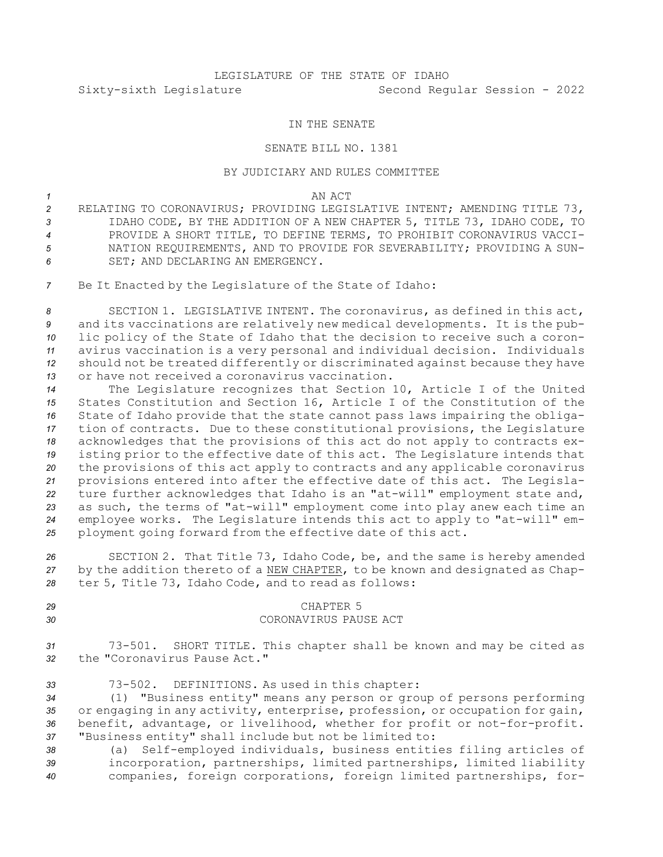## IN THE SENATE

## SENATE BILL NO. 1381

## BY JUDICIARY AND RULES COMMITTEE

*1* AN ACT

- *<sup>2</sup>* RELATING TO CORONAVIRUS; PROVIDING LEGISLATIVE INTENT; AMENDING TITLE 73, *<sup>3</sup>* IDAHO CODE, BY THE ADDITION OF A NEW CHAPTER 5, TITLE 73, IDAHO CODE, TO *4* PROVIDE A SHORT TITLE, TO DEFINE TERMS, TO PROHIBIT CORONAVIRUS VACCI-*5* NATION REQUIREMENTS, AND TO PROVIDE FOR SEVERABILITY; PROVIDING A SUN-*6* SET; AND DECLARING AN EMERGENCY.
- *<sup>7</sup>* Be It Enacted by the Legislature of the State of Idaho:

 SECTION 1. LEGISLATIVE INTENT. The coronavirus, as defined in this act, and its vaccinations are relatively new medical developments. It is the pub- lic policy of the State of Idaho that the decision to receive such <sup>a</sup> coron- avirus vaccination is <sup>a</sup> very personal and individual decision. Individuals should not be treated differently or discriminated against because they have or have not received <sup>a</sup> coronavirus vaccination.

 The Legislature recognizes that Section 10, Article <sup>I</sup> of the United States Constitution and Section 16, Article I of the Constitution of the State of Idaho provide that the state cannot pass laws impairing the obliga- tion of contracts. Due to these constitutional provisions, the Legislature acknowledges that the provisions of this act do not apply to contracts ex- isting prior to the effective date of this act. The Legislature intends that the provisions of this act apply to contracts and any applicable coronavirus provisions entered into after the effective date of this act. The Legisla- ture further acknowledges that Idaho is an "at-will" employment state and, as such, the terms of "at-will" employment come into play anew each time an employee works. The Legislature intends this act to apply to "at-will" em-ployment going forward from the effective date of this act.

*<sup>26</sup>* SECTION 2. That Title 73, Idaho Code, be, and the same is hereby amended *<sup>27</sup>* by the addition thereto of <sup>a</sup> NEW CHAPTER, to be known and designated as Chap-*<sup>28</sup>* ter 5, Title 73, Idaho Code, and to read as follows:

## *29* CHAPTER 5 *30* CORONAVIRUS PAUSE ACT

*<sup>31</sup>* 73-501. SHORT TITLE. This chapter shall be known and may be cited as *32* the "Coronavirus Pause Act."

 73-502. DEFINITIONS. As used in this chapter: (1) "Business entity" means any person or group of persons performing or engaging in any activity, enterprise, profession, or occupation for gain, benefit, advantage, or livelihood, whether for profit or not-for-profit. "Business entity" shall include but not be limited to:

*<sup>38</sup>* (a) Self-employed individuals, business entities filing articles of *<sup>39</sup>* incorporation, partnerships, limited partnerships, limited liability *<sup>40</sup>* companies, foreign corporations, foreign limited partnerships, for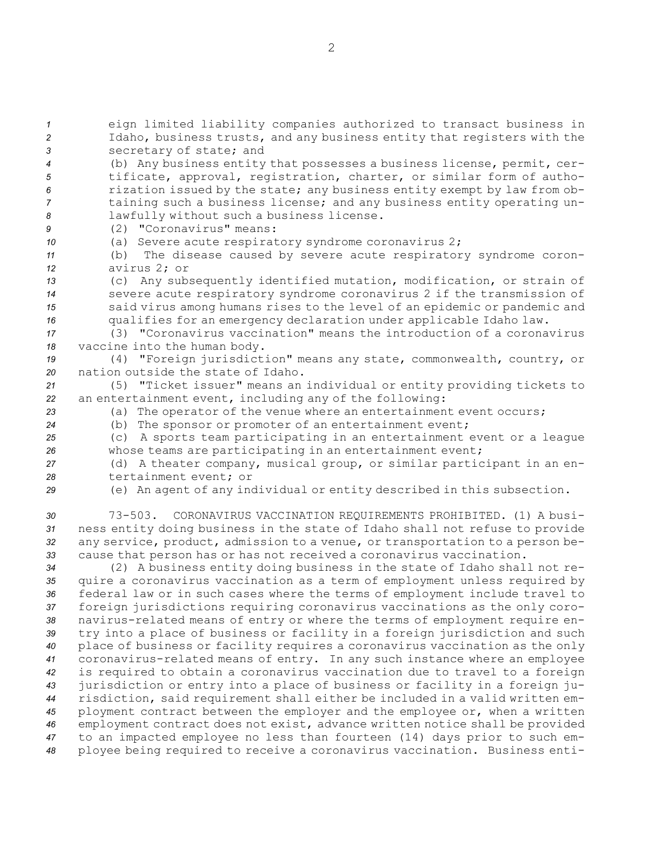Idaho, business trusts, and any business entity that registers with the secretary of state; and (b) Any business entity that possesses <sup>a</sup> business license, permit, cer- tificate, approval, registration, charter, or similar form of autho- rization issued by the state; any business entity exempt by law from ob- taining such <sup>a</sup> business license; and any business entity operating un- lawfully without such <sup>a</sup> business license. (2) "Coronavirus" means: (a) Severe acute respiratory syndrome coronavirus 2; (b) The disease caused by severe acute respiratory syndrome coron- avirus 2; or (c) Any subsequently identified mutation, modification, or strain of severe acute respiratory syndrome coronavirus 2 if the transmission of said virus among humans rises to the level of an epidemic or pandemic and qualifies for an emergency declaration under applicable Idaho law. (3) "Coronavirus vaccination" means the introduction of <sup>a</sup> coronavirus vaccine into the human body. (4) "Foreign jurisdiction" means any state, commonwealth, country, or nation outside the state of Idaho. (5) "Ticket issuer" means an individual or entity providing tickets to an entertainment event, including any of the following: (a) The operator of the venue where an entertainment event occurs; (b) The sponsor or promoter of an entertainment event; (c) <sup>A</sup> sports team participating in an entertainment event or <sup>a</sup> league whose teams are participating in an entertainment event; (d) <sup>A</sup> theater company, musical group, or similar participant in an en- tertainment event; or (e) An agent of any individual or entity described in this subsection. 73-503. CORONAVIRUS VACCINATION REQUIREMENTS PROHIBITED. (1) A busi- ness entity doing business in the state of Idaho shall not refuse to provide any service, product, admission to <sup>a</sup> venue, or transportation to <sup>a</sup> person be- cause that person has or has not received <sup>a</sup> coronavirus vaccination. (2) <sup>A</sup> business entity doing business in the state of Idaho shall not re- quire <sup>a</sup> coronavirus vaccination as <sup>a</sup> term of employment unless required by federal law or in such cases where the terms of employment include travel to foreign jurisdictions requiring coronavirus vaccinations as the only coro- navirus-related means of entry or where the terms of employment require en- try into <sup>a</sup> place of business or facility in <sup>a</sup> foreign jurisdiction and such place of business or facility requires <sup>a</sup> coronavirus vaccination as the only coronavirus-related means of entry. In any such instance where an employee is required to obtain <sup>a</sup> coronavirus vaccination due to travel to <sup>a</sup> foreign jurisdiction or entry into <sup>a</sup> place of business or facility in <sup>a</sup> foreign ju- risdiction, said requirement shall either be included in <sup>a</sup> valid written em- ployment contract between the employer and the employee or, when <sup>a</sup> written employment contract does not exist, advance written notice shall be provided to an impacted employee no less than fourteen (14) days prior to such em-

*<sup>48</sup>* ployee being required to receive <sup>a</sup> coronavirus vaccination. Business enti-

*<sup>1</sup>* eign limited liability companies authorized to transact business in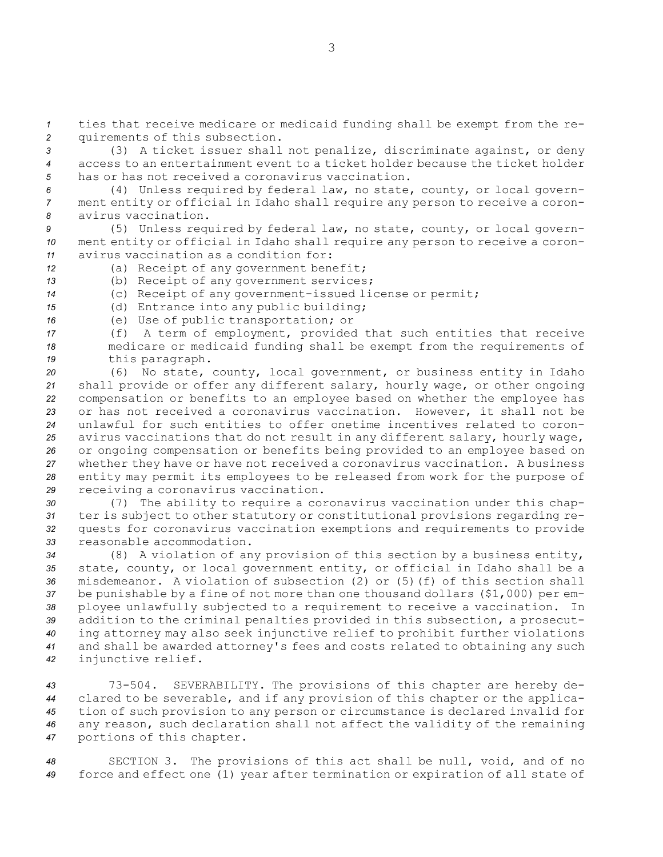*<sup>1</sup>* ties that receive medicare or medicaid funding shall be exempt from the re-*<sup>2</sup>* quirements of this subsection.

*<sup>3</sup>* (3) <sup>A</sup> ticket issuer shall not penalize, discriminate against, or deny *4* access to an entertainment event to <sup>a</sup> ticket holder because the ticket holder *5* has or has not received <sup>a</sup> coronavirus vaccination.

*<sup>6</sup>* (4) Unless required by federal law, no state, county, or local govern-*<sup>7</sup>* ment entity or official in Idaho shall require any person to receive <sup>a</sup> coron-*8* avirus vaccination.

*<sup>9</sup>* (5) Unless required by federal law, no state, county, or local govern-*<sup>10</sup>* ment entity or official in Idaho shall require any person to receive <sup>a</sup> coron-*11* avirus vaccination as <sup>a</sup> condition for:

- 
- *<sup>12</sup>* (a) Receipt of any government benefit;
- *<sup>13</sup>* (b) Receipt of any government services;
- *<sup>14</sup>* (c) Receipt of any government-issued license or permit;
- *<sup>15</sup>* (d) Entrance into any public building;
- *<sup>16</sup>* (e) Use of public transportation; or

*<sup>17</sup>* (f) <sup>A</sup> term of employment, provided that such entities that receive *<sup>18</sup>* medicare or medicaid funding shall be exempt from the requirements of *<sup>19</sup>* this paragraph.

 (6) No state, county, local government, or business entity in Idaho shall provide or offer any different salary, hourly wage, or other ongoing compensation or benefits to an employee based on whether the employee has or has not received <sup>a</sup> coronavirus vaccination. However, it shall not be unlawful for such entities to offer onetime incentives related to coron- avirus vaccinations that do not result in any different salary, hourly wage, or ongoing compensation or benefits being provided to an employee based on whether they have or have not received <sup>a</sup> coronavirus vaccination. <sup>A</sup> business entity may permit its employees to be released from work for the purpose of receiving <sup>a</sup> coronavirus vaccination.

 (7) The ability to require <sup>a</sup> coronavirus vaccination under this chap- ter is subject to other statutory or constitutional provisions regarding re- quests for coronavirus vaccination exemptions and requirements to provide reasonable accommodation.

 (8) <sup>A</sup> violation of any provision of this section by <sup>a</sup> business entity, state, county, or local government entity, or official in Idaho shall be <sup>a</sup> misdemeanor. A violation of subsection (2) or (5)(f) of this section shall be punishable by <sup>a</sup> fine of not more than one thousand dollars (\$1,000) per em- ployee unlawfully subjected to <sup>a</sup> requirement to receive <sup>a</sup> vaccination. In addition to the criminal penalties provided in this subsection, <sup>a</sup> prosecut- ing attorney may also seek injunctive relief to prohibit further violations and shall be awarded attorney's fees and costs related to obtaining any such injunctive relief.

 73-504. SEVERABILITY. The provisions of this chapter are hereby de- clared to be severable, and if any provision of this chapter or the applica- tion of such provision to any person or circumstance is declared invalid for any reason, such declaration shall not affect the validity of the remaining portions of this chapter.

*<sup>48</sup>* SECTION 3. The provisions of this act shall be null, void, and of no *<sup>49</sup>* force and effect one (1) year after termination or expiration of all state of